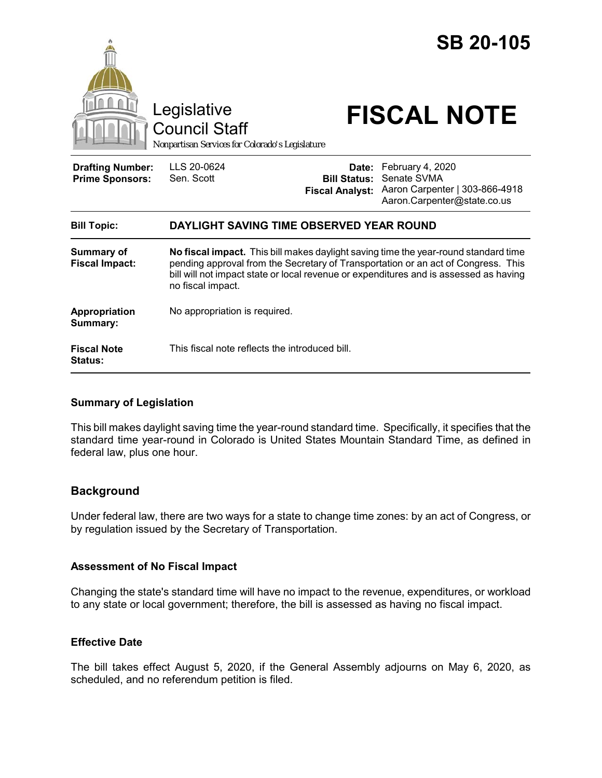

### **Summary of Legislation**

This bill makes daylight saving time the year-round standard time. Specifically, it specifies that the standard time year-round in Colorado is United States Mountain Standard Time, as defined in federal law, plus one hour.

# **Background**

Under federal law, there are two ways for a state to change time zones: by an act of Congress, or by regulation issued by the Secretary of Transportation.

# **Assessment of No Fiscal Impact**

Changing the state's standard time will have no impact to the revenue, expenditures, or workload to any state or local government; therefore, the bill is assessed as having no fiscal impact.

# **Effective Date**

The bill takes effect August 5, 2020, if the General Assembly adjourns on May 6, 2020, as scheduled, and no referendum petition is filed.